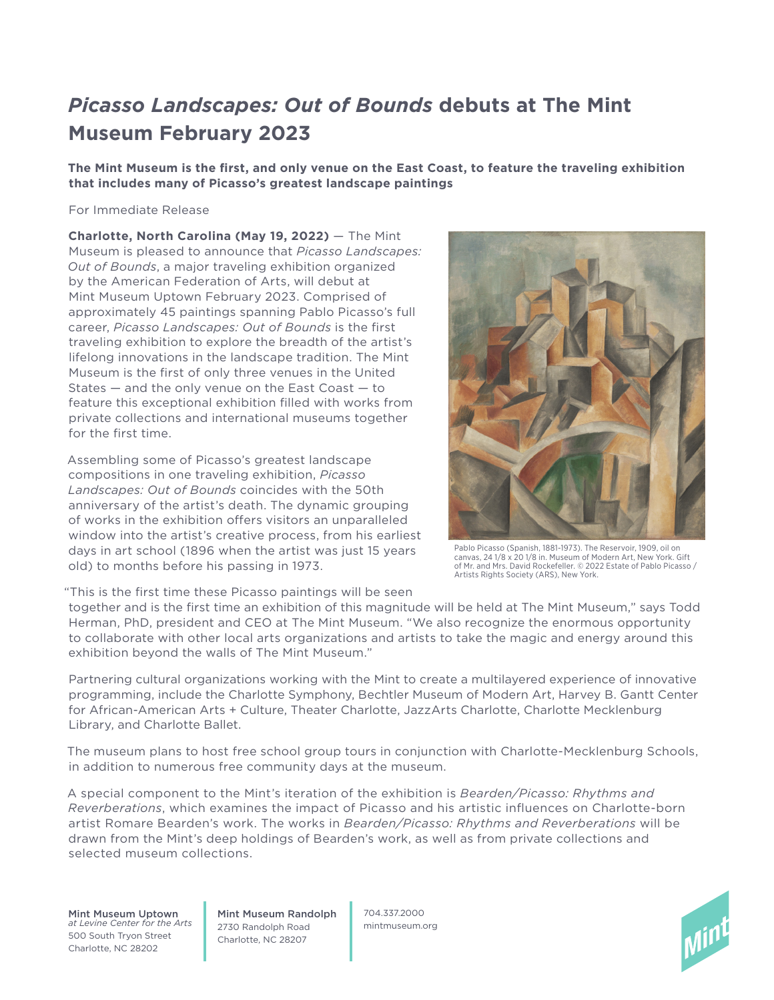# *Picasso Landscapes: Out of Bounds* **debuts at The Mint Museum February 2023**

**The Mint Museum is the first, and only venue on the East Coast, to feature the traveling exhibition that includes many of Picasso's greatest landscape paintings**

#### For Immediate Release

**Charlotte, North Carolina (May 19, 2022)** — The Mint Museum is pleased to announce that *Picasso Landscapes: Out of Bounds*, a major traveling exhibition organized by the American Federation of Arts, will debut at Mint Museum Uptown February 2023. Comprised of approximately 45 paintings spanning Pablo Picasso's full career, *Picasso Landscapes: Out of Bounds* is the first traveling exhibition to explore the breadth of the artist's lifelong innovations in the landscape tradition. The Mint Museum is the first of only three venues in the United States — and the only venue on the East Coast — to feature this exceptional exhibition filled with works from private collections and international museums together for the first time.

Assembling some of Picasso's greatest landscape compositions in one traveling exhibition, *Picasso Landscapes: Out of Bounds* coincides with the 50th anniversary of the artist's death. The dynamic grouping of works in the exhibition offers visitors an unparalleled window into the artist's creative process, from his earliest days in art school (1896 when the artist was just 15 years old) to months before his passing in 1973.



Pablo Picasso (Spanish, 1881-1973). The Reservoir, 1909, oil on canvas, 24 1/8 x 20 1/8 in. Museum of Modern Art, New York. Gift of Mr. and Mrs. David Rockefeller. © 2022 Estate of Pablo Picasso / Artists Rights Society (ARS), New York.

"This is the first time these Picasso paintings will be seen

together and is the first time an exhibition of this magnitude will be held at The Mint Museum," says Todd Herman, PhD, president and CEO at The Mint Museum. "We also recognize the enormous opportunity to collaborate with other local arts organizations and artists to take the magic and energy around this exhibition beyond the walls of The Mint Museum."

Partnering cultural organizations working with the Mint to create a multilayered experience of innovative programming, include the Charlotte Symphony, Bechtler Museum of Modern Art, Harvey B. Gantt Center for African-American Arts + Culture, Theater Charlotte, JazzArts Charlotte, Charlotte Mecklenburg Library, and Charlotte Ballet.

The museum plans to host free school group tours in conjunction with Charlotte-Mecklenburg Schools, in addition to numerous free community days at the museum.

A special component to the Mint's iteration of the exhibition is *Bearden/Picasso: Rhythms and Reverberations*, which examines the impact of Picasso and his artistic influences on Charlotte-born artist Romare Bearden's work. The works in *Bearden/Picasso: Rhythms and Reverberations* will be drawn from the Mint's deep holdings of Bearden's work, as well as from private collections and selected museum collections.

Mint Museum Uptown *at Levine Center for the Arts* 500 South Tryon Street Charlotte, NC 28202

Mint Museum Randolph 2730 Randolph Road Charlotte, NC 28207

704.337.2000 mintmuseum.org